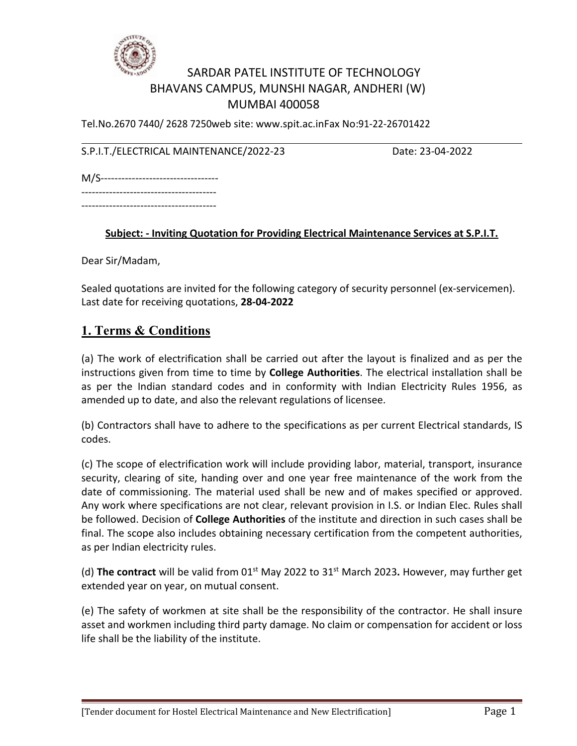

### SARDAR PATEL INSTITUTE OF TECHNOLOGY BHAVANS CAMPUS, MUNSHI NAGAR, ANDHERI (W) MUMBAI 400058

Tel.No.2670 7440/ 2628 7250web site: www.spit.ac.inFax No:91-22-26701422

S.P.I.T./ELECTRICAL MAINTENANCE/2022-23 Date: 23-04-2022

M/S----------------------------------

--------------------------------------- ---------------------------------------

#### **Subject: - Inviting Quotation for Providing Electrical Maintenance Services at S.P.I.T.**

Dear Sir/Madam,

Sealed quotations are invited for the following category of security personnel (ex-servicemen). Last date for receiving quotations, **28-04-2022**

#### **1. Terms & Conditions**

(a) The work of electrification shall be carried out after the layout is finalized and as per the instructions given from time to time by **College Authorities**. The electrical installation shall be as per the Indian standard codes and in conformity with Indian Electricity Rules 1956, as amended up to date, and also the relevant regulations of licensee.

(b) Contractors shall have to adhere to the specifications as per current Electrical standards, IS codes.

(c) The scope of electrification work will include providing labor, material, transport, insurance security, clearing of site, handing over and one year free maintenance of the work from the date of commissioning. The material used shall be new and of makes specified or approved. Any work where specifications are not clear, relevant provision in I.S. or Indian Elec. Rules shall be followed. Decision of **College Authorities** of the institute and direction in such cases shall be final. The scope also includes obtaining necessary certification from the competent authorities, as per Indian electricity rules.

(d) The contract will be valid from 01<sup>st</sup> May 2022 to 31<sup>st</sup> March 2023. However, may further get extended year on year, on mutual consent.

(e) The safety of workmen at site shall be the responsibility of the contractor. He shall insure asset and workmen including third party damage. No claim or compensation for accident or loss life shall be the liability of the institute.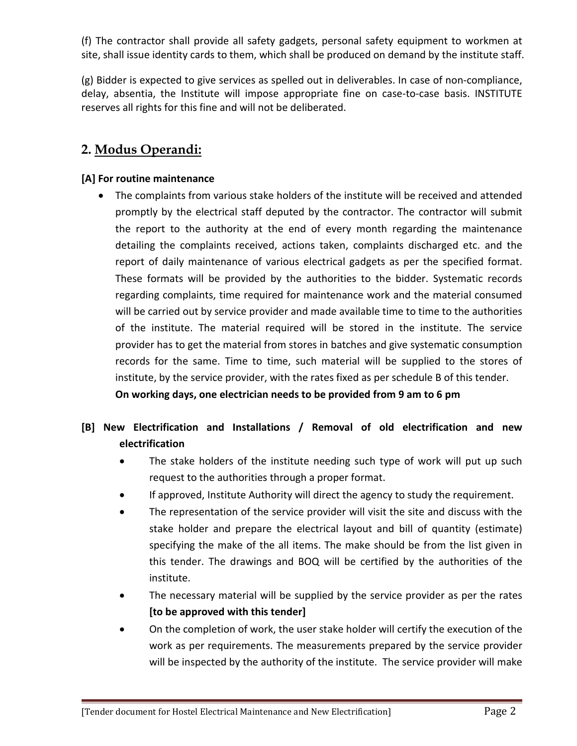(f) The contractor shall provide all safety gadgets, personal safety equipment to workmen at site, shall issue identity cards to them, which shall be produced on demand by the institute staff.

(g) Bidder is expected to give services as spelled out in deliverables. In case of non-compliance, delay, absentia, the Institute will impose appropriate fine on case-to-case basis. INSTITUTE reserves all rights for this fine and will not be deliberated.

# **2. Modus Operandi:**

#### **[A] For routine maintenance**

 The complaints from various stake holders of the institute will be received and attended promptly by the electrical staff deputed by the contractor. The contractor will submit the report to the authority at the end of every month regarding the maintenance detailing the complaints received, actions taken, complaints discharged etc. and the report of daily maintenance of various electrical gadgets as per the specified format. These formats will be provided by the authorities to the bidder. Systematic records regarding complaints, time required for maintenance work and the material consumed will be carried out by service provider and made available time to time to the authorities of the institute. The material required will be stored in the institute. The service provider has to get the material from stores in batches and give systematic consumption records for the same. Time to time, such material will be supplied to the stores of institute, by the service provider, with the rates fixed as per schedule B of this tender. **On working days, one electrician needs to be provided from 9 am to 6 pm**

### **[B] New Electrification and Installations / Removal of old electrification and new electrification**

- The stake holders of the institute needing such type of work will put up such request to the authorities through a proper format.
- If approved, Institute Authority will direct the agency to study the requirement.
- The representation of the service provider will visit the site and discuss with the stake holder and prepare the electrical layout and bill of quantity (estimate) specifying the make of the all items. The make should be from the list given in this tender. The drawings and BOQ will be certified bythe authorities of the institute.
- The necessary material will be supplied by the service provider as per the rates **[to be approved with this tender]**
- On the completion of work, the user stake holder will certify the execution of the work as per requirements. The measurements prepared by the service provider will be inspected by the authority of the institute. The service provider will make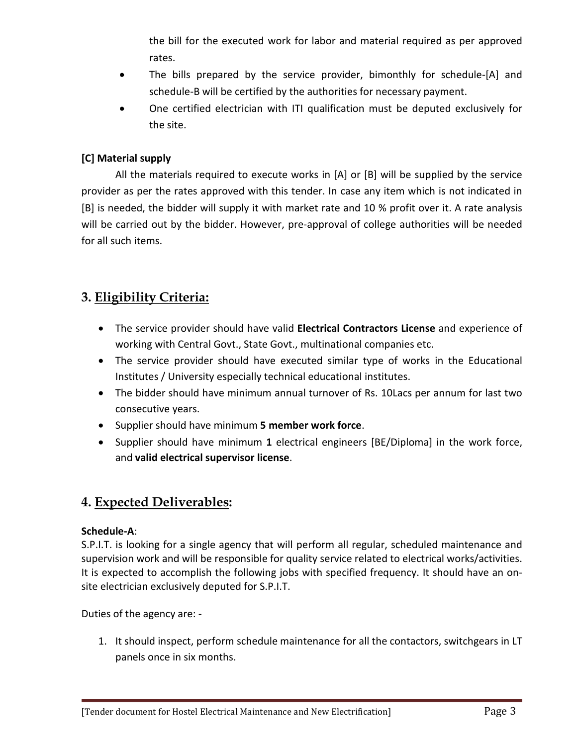the bill for the executed work for labor and material required as per approved rates.

- The bills prepared by the service provider, bimonthly for schedule-[A] and schedule-B will be certified by the authorities for necessary payment.
- One certified electrician with ITI qualification must be deputed exclusively for the site.

#### **[C] Material supply**

All the materials required to execute works in  $[A]$  or  $[B]$  will be supplied by the service provider as per the rates approved with this tender. In case any item which is not indicated in [B] is needed, the bidder will supply it with market rate and 10 % profit over it. A rate analysis will be carried out by the bidder. However, pre-approval of college authorities will be needed for all such items.

# **3. Eligibility Criteria:**

- The service provider should have valid **Electrical Contractors License** and experience of working with Central Govt., State Govt., multinational companies etc.
- The service provider should have executed similar type of works in the Educational Institutes / University especially technical educational institutes.
- The bidder should have minimum annual turnover of Rs. 10Lacs per annum for last two consecutive years.
- Supplier should have minimum **5 member work force**.
- Supplier should have minimum **1** electrical engineers [BE/Diploma] in the work force, and **valid electrical supervisor license**.

# **4. Expected Deliverables:**

#### **Schedule-A**:

S.P.I.T. is looking for a single agency that will perform all regular, scheduled maintenance and supervision work and will be responsible for quality service related to electrical works/activities. It is expected to accomplish the following jobs with specified frequency. It should have an on site electrician exclusively deputed for S.P.I.T.

Duties of the agency are: -

1. It should inspect, perform schedule maintenance for all the contactors, switchgears in LT panels once in six months.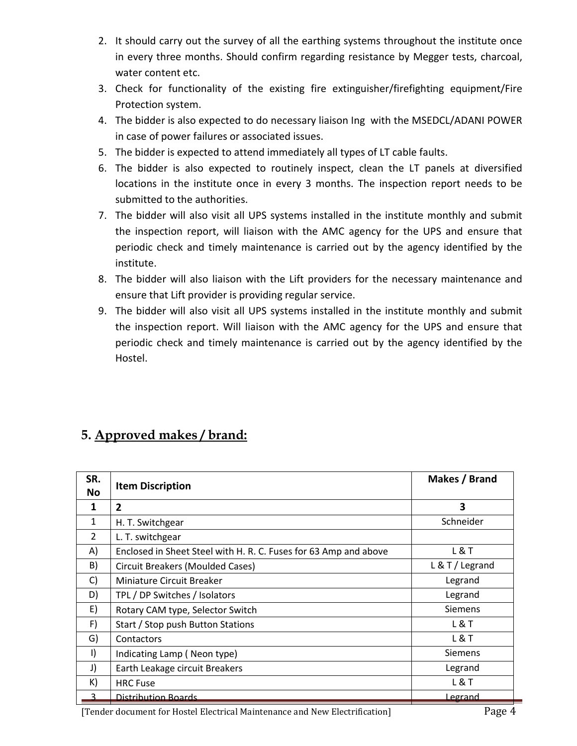- 2. It should carry out the survey of all the earthing systems throughout the institute once in every three months. Should confirm regarding resistance by Megger tests, charcoal, water content etc.
- 3. Check for functionality of the existing fire extinguisher/firefighting equipment/Fire Protection system.
- 4. The bidder is also expected to do necessary liaison Ing with the MSEDCL/ADANI POWER in case of power failures or associated issues.
- 5. The bidder is expected to attend immediately all types of LT cable faults.
- 6. The bidder is also expected to routinely inspect, clean the LT panels at diversified locations in the institute once in every 3 months. The inspection report needs to be submitted to the authorities.
- 7. The bidder will also visit all UPS systems installed in the institute monthly and submit the inspection report, will liaison with the AMC agency for the UPS and ensure that periodic check and timely maintenance is carried out by the agency identified by the institute.
- 8. The bidder will also liaison with the Lift providers for the necessary maintenance and ensure that Lift provider is providing regular service.
- 9. The bidder will also visit all UPS systems installed in the institute monthly and submit the inspection report. Will liaison with the AMC agency for the UPS and ensure that periodic check and timely maintenance is carried out by the agency identified bythe Hostel.

# **5. Approved makes/ brand:**

| SR.<br>No | <b>Item Discription</b>                                          | Makes / Brand   |
|-----------|------------------------------------------------------------------|-----------------|
| 1         | $\overline{2}$                                                   | 3               |
| 1         | H. T. Switchgear                                                 | Schneider       |
| 2         | L. T. switchgear                                                 |                 |
| A)        | Enclosed in Sheet Steel with H. R. C. Fuses for 63 Amp and above | <b>L&amp;T</b>  |
| B)        | <b>Circuit Breakers (Moulded Cases)</b>                          | L & T / Legrand |
| C)        | Miniature Circuit Breaker                                        | Legrand         |
| D)        | TPL / DP Switches / Isolators                                    | Legrand         |
| E)        | Rotary CAM type, Selector Switch                                 | <b>Siemens</b>  |
| F)        | Start / Stop push Button Stations                                | <b>L&amp;T</b>  |
| G)        | Contactors                                                       | L&T             |
| $\vert$   | Indicating Lamp (Neon type)                                      | <b>Siemens</b>  |
| J)        | Earth Leakage circuit Breakers                                   | Legrand         |
| K)        | <b>HRC Fuse</b>                                                  | <b>L&amp;T</b>  |
| 3         | Distribution Boards                                              | Legrand         |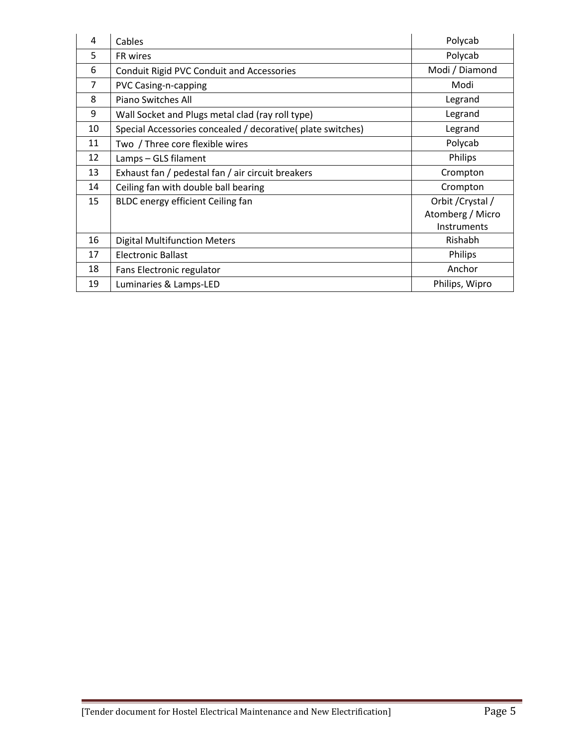| 4              | Cables                                                      | Polycab           |
|----------------|-------------------------------------------------------------|-------------------|
| 5              | FR wires                                                    | Polycab           |
| 6              | <b>Conduit Rigid PVC Conduit and Accessories</b>            | Modi / Diamond    |
| $\overline{7}$ | PVC Casing-n-capping                                        | Modi              |
| 8              | Piano Switches All                                          | Legrand           |
| 9              | Wall Socket and Plugs metal clad (ray roll type)            | Legrand           |
| 10             | Special Accessories concealed / decorative( plate switches) | Legrand           |
| 11             | Two / Three core flexible wires                             | Polycab           |
| 12             | Lamps - GLS filament                                        | Philips           |
| 13             | Exhaust fan / pedestal fan / air circuit breakers           | Crompton          |
| 14             | Ceiling fan with double ball bearing                        | Crompton          |
| 15             | BLDC energy efficient Ceiling fan                           | Orbit / Crystal / |
|                |                                                             | Atomberg / Micro  |
|                |                                                             | Instruments       |
| 16             | <b>Digital Multifunction Meters</b>                         | Rishabh           |
| 17             | <b>Electronic Ballast</b>                                   | Philips           |
| 18             | Fans Electronic regulator                                   | Anchor            |
| 19             | Luminaries & Lamps-LED                                      | Philips, Wipro    |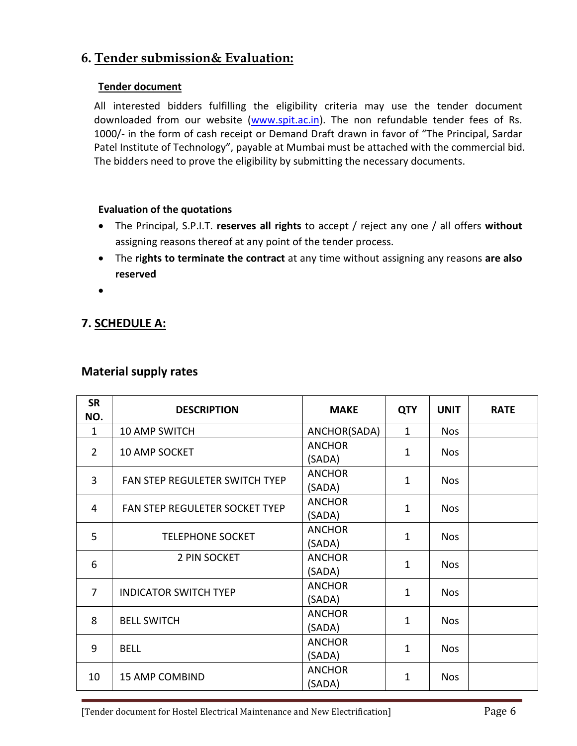### **6. Tender submission& Evaluation:**

#### **Tender document**

All interested bidders fulfilling the eligibility criteria may use the tender document downloaded from our website ([www.spit.ac.in](http://www.spit.ac.in)). The non refundable tender fees of Rs. 1000/- in the form of cash receipt or Demand Draft drawn in favor of "The Principal, Sardar Patel Institute of Technology", payable at Mumbai must be attached with the commercial bid. The bidders need to prove the eligibility by submitting the necessary documents.

#### **Evaluation of the quotations**

- The Principal, S.P.I.T. **reserves all rights** to accept / reject any one / all offers **without** assigning reasons thereof at any point of the tender process.
- The **rights to terminate the contract** at any time without assigning any reasons **are also reserved**
- $\bullet$  and  $\bullet$  and  $\bullet$  and  $\bullet$  and  $\bullet$

### **7. SCHEDULE A:**

#### **Material supply rates**

| <b>SR</b><br>NO. | <b>DESCRIPTION</b>             | <b>MAKE</b>             | <b>QTY</b>   | <b>UNIT</b> | <b>RATE</b> |
|------------------|--------------------------------|-------------------------|--------------|-------------|-------------|
| $\mathbf{1}$     | 10 AMP SWITCH                  | ANCHOR(SADA)            | $\mathbf{1}$ | <b>Nos</b>  |             |
| $\overline{2}$   | 10 AMP SOCKET                  | <b>ANCHOR</b><br>(SADA) | 1            | <b>Nos</b>  |             |
| $\overline{3}$   | FAN STEP REGULETER SWITCH TYEP | <b>ANCHOR</b><br>(SADA) | $\mathbf{1}$ | <b>Nos</b>  |             |
| 4                | FAN STEP REGULETER SOCKET TYEP | <b>ANCHOR</b><br>(SADA) | 1            | <b>Nos</b>  |             |
| 5                | <b>TELEPHONE SOCKET</b>        | <b>ANCHOR</b><br>(SADA) | $\mathbf{1}$ | <b>Nos</b>  |             |
| 6                | 2 PIN SOCKET                   | <b>ANCHOR</b><br>(SADA) | $\mathbf{1}$ | <b>Nos</b>  |             |
| $\overline{7}$   | <b>INDICATOR SWITCH TYEP</b>   | <b>ANCHOR</b><br>(SADA) | $\mathbf{1}$ | <b>Nos</b>  |             |
| 8                | <b>BELL SWITCH</b>             | <b>ANCHOR</b><br>(SADA) | 1            | <b>Nos</b>  |             |
| 9                | <b>BELL</b>                    | <b>ANCHOR</b><br>(SADA) | $\mathbf{1}$ | <b>Nos</b>  |             |
| 10               | <b>15 AMP COMBIND</b>          | <b>ANCHOR</b><br>(SADA) | $\mathbf{1}$ | <b>Nos</b>  |             |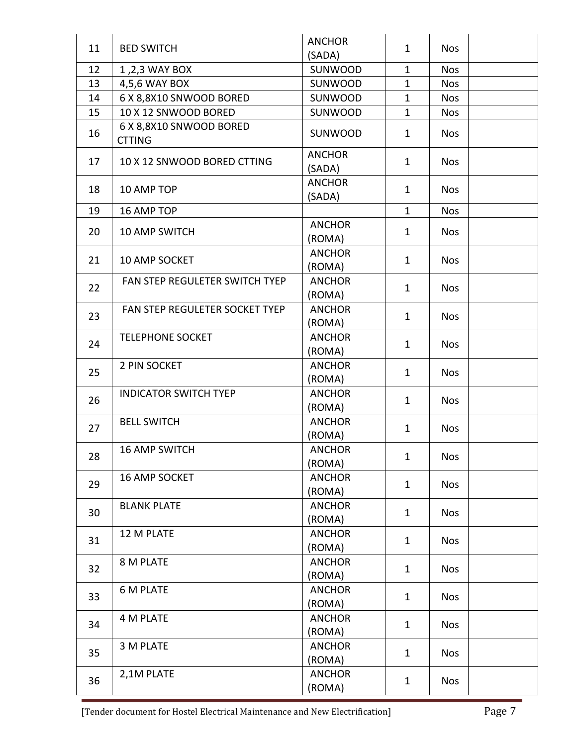| 11 | <b>BED SWITCH</b>                        | <b>ANCHOR</b><br>(SADA) | $\mathbf{1}$ | <b>Nos</b> |  |
|----|------------------------------------------|-------------------------|--------------|------------|--|
| 12 | 1,2,3 WAY BOX                            | SUNWOOD                 | 1            | <b>Nos</b> |  |
| 13 | 4,5,6 WAY BOX                            | SUNWOOD                 | 1            | <b>Nos</b> |  |
| 14 | 6 X 8,8X10 SNWOOD BORED                  | SUNWOOD                 | 1            | <b>Nos</b> |  |
| 15 | 10 X 12 SNWOOD BORED                     | SUNWOOD                 | $\mathbf{1}$ | <b>Nos</b> |  |
| 16 | 6 X 8,8X10 SNWOOD BORED<br><b>CTTING</b> | SUNWOOD                 | $\mathbf{1}$ | <b>Nos</b> |  |
| 17 | 10 X 12 SNWOOD BORED CTTING              | <b>ANCHOR</b><br>(SADA) | $\mathbf{1}$ | <b>Nos</b> |  |
| 18 | 10 AMP TOP                               | <b>ANCHOR</b><br>(SADA) | $\mathbf{1}$ | <b>Nos</b> |  |
| 19 | 16 AMP TOP                               |                         | $\mathbf{1}$ | <b>Nos</b> |  |
| 20 | 10 AMP SWITCH                            | <b>ANCHOR</b><br>(ROMA) | $\mathbf{1}$ | <b>Nos</b> |  |
| 21 | 10 AMP SOCKET                            | <b>ANCHOR</b><br>(ROMA) | $\mathbf{1}$ | <b>Nos</b> |  |
| 22 | FAN STEP REGULETER SWITCH TYEP           | <b>ANCHOR</b><br>(ROMA) | $\mathbf{1}$ | <b>Nos</b> |  |
| 23 | FAN STEP REGULETER SOCKET TYEP           | <b>ANCHOR</b><br>(ROMA) | $\mathbf{1}$ | <b>Nos</b> |  |
| 24 | <b>TELEPHONE SOCKET</b>                  | <b>ANCHOR</b><br>(ROMA) | $\mathbf{1}$ | <b>Nos</b> |  |
| 25 | 2 PIN SOCKET                             | <b>ANCHOR</b><br>(ROMA) | $\mathbf{1}$ | <b>Nos</b> |  |
| 26 | <b>INDICATOR SWITCH TYEP</b>             | <b>ANCHOR</b><br>(ROMA) | $\mathbf{1}$ | <b>Nos</b> |  |
| 27 | <b>BELL SWITCH</b>                       | <b>ANCHOR</b><br>(ROMA) | $\mathbf{1}$ | <b>Nos</b> |  |
| 28 | <b>16 AMP SWITCH</b>                     | <b>ANCHOR</b><br>(ROMA) | $\mathbf{1}$ | <b>Nos</b> |  |
| 29 | 16 AMP SOCKET                            | <b>ANCHOR</b><br>(ROMA) | $\mathbf{1}$ | <b>Nos</b> |  |
| 30 | <b>BLANK PLATE</b>                       | <b>ANCHOR</b><br>(ROMA) | $\mathbf{1}$ | <b>Nos</b> |  |
| 31 | 12 M PLATE                               | <b>ANCHOR</b><br>(ROMA) | $\mathbf{1}$ | <b>Nos</b> |  |
| 32 | 8 M PLATE                                | <b>ANCHOR</b><br>(ROMA) | $\mathbf{1}$ | <b>Nos</b> |  |
| 33 | <b>6 M PLATE</b>                         | <b>ANCHOR</b><br>(ROMA) | $\mathbf{1}$ | <b>Nos</b> |  |
| 34 | 4 M PLATE                                | <b>ANCHOR</b><br>(ROMA) | $\mathbf{1}$ | <b>Nos</b> |  |
| 35 | 3 M PLATE                                | <b>ANCHOR</b><br>(ROMA) | $\mathbf{1}$ | <b>Nos</b> |  |
| 36 | 2,1M PLATE                               | <b>ANCHOR</b><br>(ROMA) | $\mathbf{1}$ | <b>Nos</b> |  |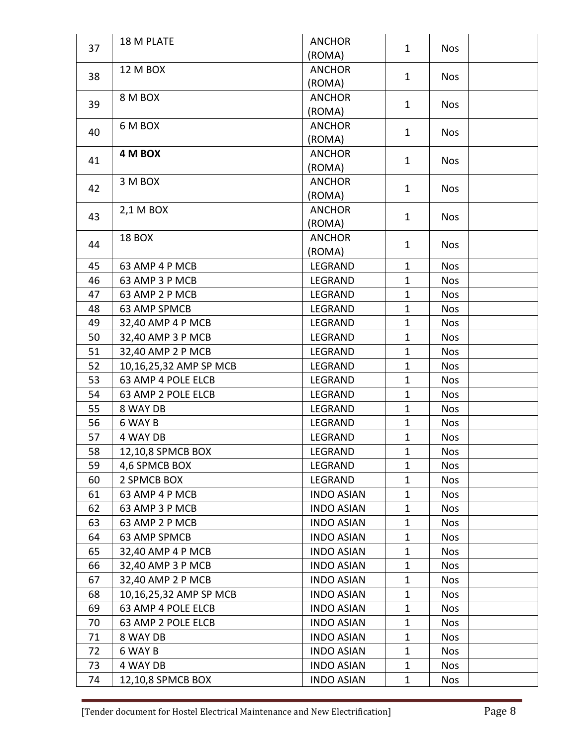|    | 18 M PLATE             | <b>ANCHOR</b>     |              |            |  |
|----|------------------------|-------------------|--------------|------------|--|
| 37 |                        | (ROMA)            | $\mathbf{1}$ | <b>Nos</b> |  |
|    | <b>12 M BOX</b>        | <b>ANCHOR</b>     |              |            |  |
| 38 |                        | (ROMA)            | $\mathbf{1}$ | <b>Nos</b> |  |
| 39 | 8 M BOX                | <b>ANCHOR</b>     | $\mathbf{1}$ |            |  |
|    |                        | (ROMA)            |              | <b>Nos</b> |  |
| 40 | 6 M BOX                | <b>ANCHOR</b>     | $\mathbf{1}$ |            |  |
|    |                        | (ROMA)            |              | <b>Nos</b> |  |
| 41 | 4 M BOX                | <b>ANCHOR</b>     | $\mathbf{1}$ | <b>Nos</b> |  |
|    |                        | (ROMA)            |              |            |  |
| 42 | 3 M BOX                | <b>ANCHOR</b>     | 1            | <b>Nos</b> |  |
|    |                        | (ROMA)            |              |            |  |
| 43 | 2,1 M BOX              | <b>ANCHOR</b>     | $\mathbf{1}$ | <b>Nos</b> |  |
|    |                        | (ROMA)            |              |            |  |
| 44 | 18 BOX                 | <b>ANCHOR</b>     | $\mathbf{1}$ | <b>Nos</b> |  |
|    |                        | (ROMA)            |              |            |  |
| 45 | 63 AMP 4 P MCB         | LEGRAND           | $\mathbf{1}$ | <b>Nos</b> |  |
| 46 | 63 AMP 3 P MCB         | LEGRAND           | $\mathbf{1}$ | <b>Nos</b> |  |
| 47 | 63 AMP 2 P MCB         | LEGRAND           | $\mathbf{1}$ | <b>Nos</b> |  |
| 48 | 63 AMP SPMCB           | LEGRAND           | $\mathbf{1}$ | <b>Nos</b> |  |
| 49 | 32,40 AMP 4 P MCB      | LEGRAND           | $\mathbf{1}$ | <b>Nos</b> |  |
| 50 | 32,40 AMP 3 P MCB      | LEGRAND           | $\mathbf{1}$ | <b>Nos</b> |  |
| 51 | 32,40 AMP 2 P MCB      | LEGRAND           | $\mathbf{1}$ | <b>Nos</b> |  |
| 52 | 10,16,25,32 AMP SP MCB | LEGRAND           | $\mathbf{1}$ | <b>Nos</b> |  |
| 53 | 63 AMP 4 POLE ELCB     | LEGRAND           | $\mathbf{1}$ | <b>Nos</b> |  |
| 54 | 63 AMP 2 POLE ELCB     | LEGRAND           | $\mathbf{1}$ | <b>Nos</b> |  |
| 55 | 8 WAY DB               | LEGRAND           | $\mathbf{1}$ | <b>Nos</b> |  |
| 56 | 6 WAY B                | LEGRAND           | $\mathbf 1$  | <b>Nos</b> |  |
| 57 | 4 WAY DB               | LEGRAND           | $\mathbf{1}$ | <b>Nos</b> |  |
| 58 | 12,10,8 SPMCB BOX      | LEGRAND           | $\mathbf 1$  | <b>Nos</b> |  |
| 59 | 4,6 SPMCB BOX          | LEGRAND           | 1            | <b>Nos</b> |  |
| 60 | 2 SPMCB BOX            | LEGRAND           | $\mathbf 1$  | <b>Nos</b> |  |
| 61 | 63 AMP 4 P MCB         | <b>INDO ASIAN</b> | 1            | <b>Nos</b> |  |
| 62 | 63 AMP 3 P MCB         | <b>INDO ASIAN</b> | 1            | <b>Nos</b> |  |
| 63 | 63 AMP 2 P MCB         | <b>INDO ASIAN</b> | $\mathbf 1$  | <b>Nos</b> |  |
| 64 | 63 AMP SPMCB           | <b>INDO ASIAN</b> | 1            | <b>Nos</b> |  |
| 65 | 32,40 AMP 4 P MCB      | <b>INDO ASIAN</b> | $\mathbf 1$  | <b>Nos</b> |  |
| 66 | 32,40 AMP 3 P MCB      | <b>INDO ASIAN</b> | 1            | <b>Nos</b> |  |
| 67 | 32,40 AMP 2 P MCB      | <b>INDO ASIAN</b> | $\mathbf 1$  | <b>Nos</b> |  |
| 68 | 10,16,25,32 AMP SP MCB | <b>INDO ASIAN</b> | 1            | <b>Nos</b> |  |
| 69 | 63 AMP 4 POLE ELCB     | <b>INDO ASIAN</b> | $\mathbf 1$  | <b>Nos</b> |  |
| 70 | 63 AMP 2 POLE ELCB     | <b>INDO ASIAN</b> | 1            | <b>Nos</b> |  |
| 71 | 8 WAY DB               | <b>INDO ASIAN</b> | $\mathbf 1$  | <b>Nos</b> |  |
| 72 | 6 WAY B                | <b>INDO ASIAN</b> | 1            | <b>Nos</b> |  |
| 73 | 4 WAY DB               | <b>INDO ASIAN</b> | $\mathbf{1}$ | <b>Nos</b> |  |
| 74 | 12,10,8 SPMCB BOX      | <b>INDO ASIAN</b> | $\mathbf 1$  | Nos        |  |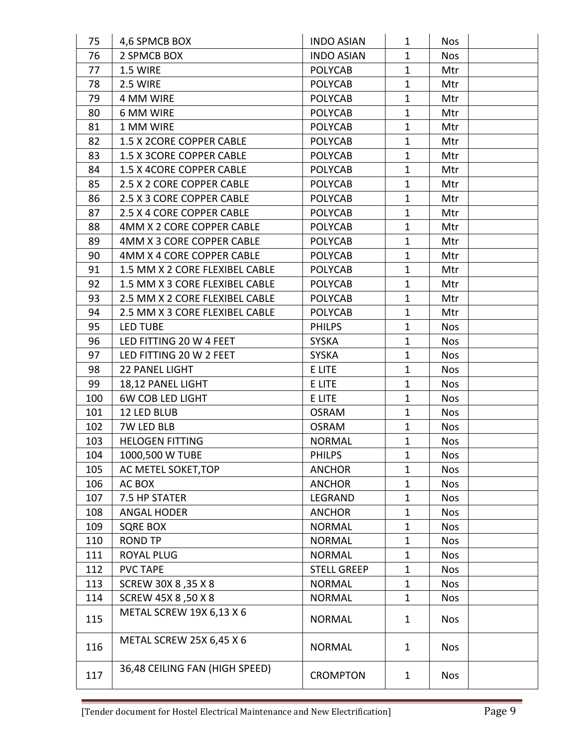| 75  | 4,6 SPMCB BOX                   | <b>INDO ASIAN</b>  | 1            | <b>Nos</b> |  |
|-----|---------------------------------|--------------------|--------------|------------|--|
| 76  | 2 SPMCB BOX                     | <b>INDO ASIAN</b>  | $\mathbf{1}$ | <b>Nos</b> |  |
| 77  | 1.5 WIRE                        | <b>POLYCAB</b>     | $\mathbf{1}$ | Mtr        |  |
| 78  | 2.5 WIRE                        | <b>POLYCAB</b>     | $\mathbf{1}$ | Mtr        |  |
| 79  | 4 MM WIRE                       | <b>POLYCAB</b>     | $\mathbf{1}$ | Mtr        |  |
| 80  | 6 MM WIRE                       | <b>POLYCAB</b>     | $\mathbf{1}$ | Mtr        |  |
| 81  | 1 MM WIRE                       | <b>POLYCAB</b>     | $\mathbf{1}$ | Mtr        |  |
| 82  | 1.5 X 2CORE COPPER CABLE        | <b>POLYCAB</b>     | $\mathbf{1}$ | Mtr        |  |
| 83  | 1.5 X 3CORE COPPER CABLE        | <b>POLYCAB</b>     | $\mathbf{1}$ | Mtr        |  |
| 84  | 1.5 X 4CORE COPPER CABLE        | <b>POLYCAB</b>     | $\mathbf{1}$ | Mtr        |  |
| 85  | 2.5 X 2 CORE COPPER CABLE       | <b>POLYCAB</b>     | $\mathbf{1}$ | Mtr        |  |
| 86  | 2.5 X 3 CORE COPPER CABLE       | <b>POLYCAB</b>     | $\mathbf 1$  | Mtr        |  |
| 87  | 2.5 X 4 CORE COPPER CABLE       | <b>POLYCAB</b>     | $\mathbf{1}$ | Mtr        |  |
| 88  | 4MM X 2 CORE COPPER CABLE       | <b>POLYCAB</b>     | $\mathbf{1}$ | Mtr        |  |
| 89  | 4MM X 3 CORE COPPER CABLE       | <b>POLYCAB</b>     | $\mathbf{1}$ | Mtr        |  |
| 90  | 4MM X 4 CORE COPPER CABLE       | <b>POLYCAB</b>     | 1            | Mtr        |  |
| 91  | 1.5 MM X 2 CORE FLEXIBEL CABLE  | <b>POLYCAB</b>     | $\mathbf{1}$ | Mtr        |  |
| 92  | 1.5 MM X 3 CORE FLEXIBEL CABLE  | <b>POLYCAB</b>     | $\mathbf{1}$ | Mtr        |  |
| 93  | 2.5 MM X 2 CORE FLEXIBEL CABLE  | <b>POLYCAB</b>     | $\mathbf{1}$ | Mtr        |  |
| 94  | 2.5 MM X 3 CORE FLEXIBEL CABLE  | <b>POLYCAB</b>     | $\mathbf{1}$ | Mtr        |  |
| 95  | <b>LED TUBE</b>                 | <b>PHILPS</b>      | $\mathbf{1}$ | <b>Nos</b> |  |
| 96  | LED FITTING 20 W 4 FEET         | <b>SYSKA</b>       | $\mathbf 1$  | <b>Nos</b> |  |
| 97  | LED FITTING 20 W 2 FEET         | <b>SYSKA</b>       | $\mathbf{1}$ | <b>Nos</b> |  |
| 98  | 22 PANEL LIGHT                  | E LITE             | 1            | <b>Nos</b> |  |
| 99  | 18,12 PANEL LIGHT               | E LITE             | $\mathbf{1}$ | <b>Nos</b> |  |
| 100 | <b>6W COB LED LIGHT</b>         | E LITE             | $\mathbf{1}$ | <b>Nos</b> |  |
| 101 | 12 LED BLUB                     | <b>OSRAM</b>       | $\mathbf 1$  | <b>Nos</b> |  |
| 102 | 7W LED BLB                      | <b>OSRAM</b>       | $\mathbf{1}$ | <b>Nos</b> |  |
| 103 | <b>HELOGEN FITTING</b>          | <b>NORMAL</b>      | $\mathbf{1}$ | <b>Nos</b> |  |
| 104 | 1000,500 W TUBE                 | <b>PHILPS</b>      | $\mathbf{1}$ | Nos        |  |
| 105 | AC METEL SOKET, TOP             | <b>ANCHOR</b>      | $\mathbf 1$  | <b>Nos</b> |  |
| 106 | AC BOX                          | <b>ANCHOR</b>      | $\mathbf{1}$ | <b>Nos</b> |  |
| 107 | 7.5 HP STATER                   | LEGRAND            | 1            | <b>Nos</b> |  |
| 108 | <b>ANGAL HODER</b>              | <b>ANCHOR</b>      | $\mathbf 1$  | <b>Nos</b> |  |
| 109 | <b>SQRE BOX</b>                 | <b>NORMAL</b>      | $\mathbf 1$  | <b>Nos</b> |  |
| 110 | <b>ROND TP</b>                  | <b>NORMAL</b>      | $\mathbf{1}$ | <b>Nos</b> |  |
| 111 | <b>ROYAL PLUG</b>               | <b>NORMAL</b>      | 1            | <b>Nos</b> |  |
| 112 | <b>PVC TAPE</b>                 | <b>STELL GREEP</b> | $\mathbf 1$  | <b>Nos</b> |  |
| 113 | SCREW 30X 8, 35 X 8             | <b>NORMAL</b>      | 1            | <b>Nos</b> |  |
| 114 | SCREW 45X 8,50 X 8              | <b>NORMAL</b>      | $\mathbf{1}$ | <b>Nos</b> |  |
| 115 | METAL SCREW 19X 6,13 X 6        | <b>NORMAL</b>      | 1            | <b>Nos</b> |  |
| 116 | <b>METAL SCREW 25X 6,45 X 6</b> | <b>NORMAL</b>      | 1            | <b>Nos</b> |  |
| 117 | 36,48 CEILING FAN (HIGH SPEED)  | <b>CROMPTON</b>    | 1            | <b>Nos</b> |  |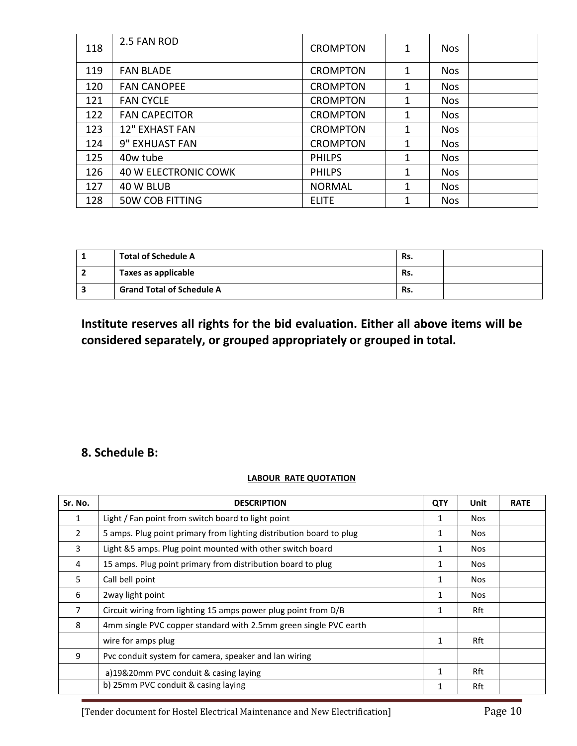| 118 | 2.5 FAN ROD                 | <b>CROMPTON</b> | 1 | <b>Nos</b> |  |
|-----|-----------------------------|-----------------|---|------------|--|
| 119 | <b>FAN BLADE</b>            | <b>CROMPTON</b> | 1 | <b>Nos</b> |  |
| 120 | <b>FAN CANOPEE</b>          | <b>CROMPTON</b> | 1 | <b>Nos</b> |  |
| 121 | <b>FAN CYCLE</b>            | <b>CROMPTON</b> | 1 | <b>Nos</b> |  |
| 122 | <b>FAN CAPECITOR</b>        | <b>CROMPTON</b> | 1 | <b>Nos</b> |  |
| 123 | <b>12" EXHAST FAN</b>       | <b>CROMPTON</b> | 1 | <b>Nos</b> |  |
| 124 | 9" EXHUAST FAN              | <b>CROMPTON</b> | 1 | <b>Nos</b> |  |
| 125 | 40w tube                    | <b>PHILPS</b>   | 1 | <b>Nos</b> |  |
| 126 | <b>40 W ELECTRONIC COWK</b> | <b>PHILPS</b>   | 1 | <b>Nos</b> |  |
| 127 | 40 W BLUB                   | <b>NORMAL</b>   | 1 | <b>Nos</b> |  |
| 128 | <b>50W COB FITTING</b>      | <b>ELITE</b>    |   | <b>Nos</b> |  |

| <b>Total of Schedule A</b>       | Rs. |  |
|----------------------------------|-----|--|
| Taxes as applicable              | Rs. |  |
| <b>Grand Total of Schedule A</b> | Rs. |  |

# **Institute reserves all rights for the bid evaluation. Either all above items will be considered separately, or grouped appropriately or grouped in total.**

### **8. Schedule B:**

#### **LABOUR RATE QUOTATION**

| Sr. No.        | <b>DESCRIPTION</b>                                                  | <b>QTY</b> | Unit       | <b>RATE</b> |
|----------------|---------------------------------------------------------------------|------------|------------|-------------|
| $\mathbf{1}$   | Light / Fan point from switch board to light point                  |            | <b>Nos</b> |             |
| $\overline{2}$ | 5 amps. Plug point primary from lighting distribution board to plug |            | <b>Nos</b> |             |
| 3              | Light &5 amps. Plug point mounted with other switch board           | 1          | <b>Nos</b> |             |
| 4              | 15 amps. Plug point primary from distribution board to plug         | 1          | <b>Nos</b> |             |
| 5              | Call bell point                                                     | 1          | <b>Nos</b> |             |
| 6              | 2way light point                                                    | 1          | <b>Nos</b> |             |
| 7              | Circuit wiring from lighting 15 amps power plug point from D/B      |            | Rft        |             |
| 8              | 4mm single PVC copper standard with 2.5mm green single PVC earth    |            |            |             |
|                | wire for amps plug                                                  | 1          | Rft        |             |
| 9              | Pvc conduit system for camera, speaker and lan wiring               |            |            |             |
|                | a)19&20mm PVC conduit & casing laying                               | 1          | Rft        |             |
|                | b) 25mm PVC conduit & casing laying                                 |            | Rft        |             |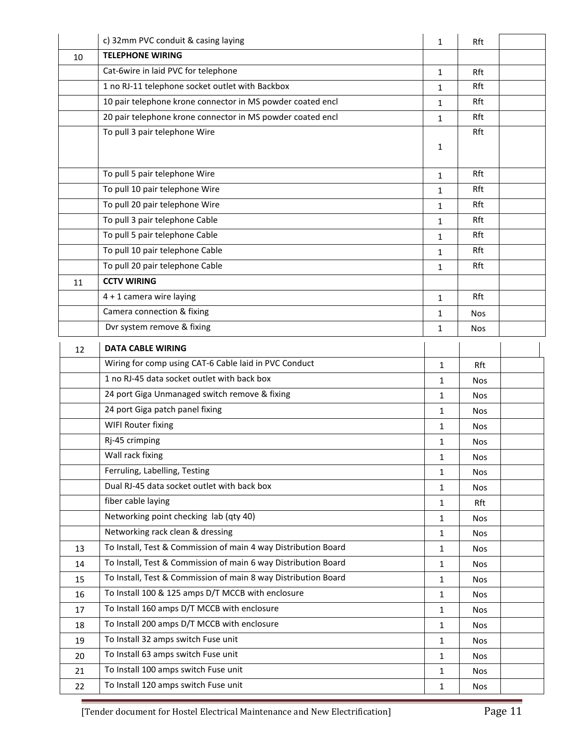|    | c) 32mm PVC conduit & casing laying                            | 1            | Rft        |  |
|----|----------------------------------------------------------------|--------------|------------|--|
| 10 | <b>TELEPHONE WIRING</b>                                        |              |            |  |
|    | Cat-6wire in laid PVC for telephone                            | $\mathbf{1}$ | Rft        |  |
|    | 1 no RJ-11 telephone socket outlet with Backbox                | 1            | Rft        |  |
|    | 10 pair telephone krone connector in MS powder coated encl     | 1            | Rft        |  |
|    | 20 pair telephone krone connector in MS powder coated encl     | 1            | Rft        |  |
|    | To pull 3 pair telephone Wire                                  |              | Rft        |  |
|    |                                                                | 1            |            |  |
|    | To pull 5 pair telephone Wire                                  | $\mathbf{1}$ | Rft        |  |
|    | To pull 10 pair telephone Wire                                 | $\mathbf{1}$ | Rft        |  |
|    | To pull 20 pair telephone Wire                                 | 1            | Rft        |  |
|    | To pull 3 pair telephone Cable                                 | $\mathbf{1}$ | Rft        |  |
|    | To pull 5 pair telephone Cable                                 | $\mathbf{1}$ | Rft        |  |
|    | To pull 10 pair telephone Cable                                | 1            | Rft        |  |
|    | To pull 20 pair telephone Cable                                | 1            | Rft        |  |
| 11 | <b>CCTV WIRING</b>                                             |              |            |  |
|    | 4 + 1 camera wire laying                                       | $\mathbf{1}$ | Rft        |  |
|    | Camera connection & fixing                                     | 1            | <b>Nos</b> |  |
|    | Dvr system remove & fixing                                     | 1            | <b>Nos</b> |  |
| 12 | <b>DATA CABLE WIRING</b>                                       |              |            |  |
|    | Wiring for comp using CAT-6 Cable laid in PVC Conduct          | $\mathbf{1}$ | Rft        |  |
|    | 1 no RJ-45 data socket outlet with back box                    | $\mathbf{1}$ | <b>Nos</b> |  |
|    | 24 port Giga Unmanaged switch remove & fixing                  | 1            | <b>Nos</b> |  |
|    | 24 port Giga patch panel fixing                                | $\mathbf{1}$ | Nos        |  |
|    | WIFI Router fixing                                             | $\mathbf{1}$ | <b>Nos</b> |  |
|    | Rj-45 crimping                                                 | 1            | Nos        |  |
|    | Wall rack fixing                                               | 1            | Nos        |  |
|    | Ferruling, Labelling, Testing                                  | $\mathbf{1}$ | <b>Nos</b> |  |
|    | Dual RJ-45 data socket outlet with back box                    | 1            | <b>Nos</b> |  |
|    | fiber cable laying                                             | $\mathbf{1}$ | Rft        |  |
|    | Networking point checking lab (qty 40)                         | 1            | <b>Nos</b> |  |
|    | Networking rack clean & dressing                               | 1            | Nos        |  |
| 13 | To Install, Test & Commission of main 4 way Distribution Board | 1            | <b>Nos</b> |  |
| 14 | To Install, Test & Commission of main 6 way Distribution Board | 1            | <b>Nos</b> |  |
| 15 | To Install, Test & Commission of main 8 way Distribution Board | $\mathbf{1}$ | <b>Nos</b> |  |
| 16 | To Install 100 & 125 amps D/T MCCB with enclosure              | 1            | <b>Nos</b> |  |
| 17 | To Install 160 amps D/T MCCB with enclosure                    | 1            | <b>Nos</b> |  |
| 18 | To Install 200 amps D/T MCCB with enclosure                    | 1            | <b>Nos</b> |  |
| 19 | To Install 32 amps switch Fuse unit                            | 1            | <b>Nos</b> |  |
| 20 | To Install 63 amps switch Fuse unit                            | 1            | <b>Nos</b> |  |
| 21 | To Install 100 amps switch Fuse unit                           | 1            | <b>Nos</b> |  |
| 22 | To Install 120 amps switch Fuse unit                           | 1            | <b>Nos</b> |  |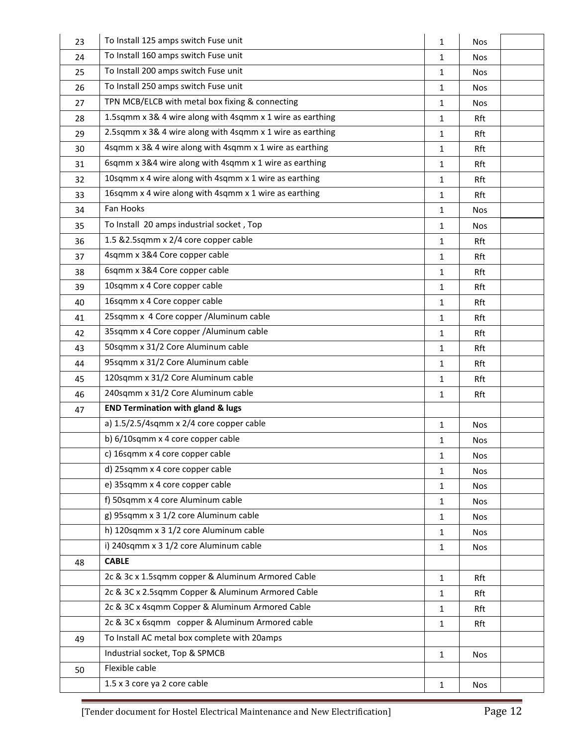| 23 | To Install 125 amps switch Fuse unit                      | $\mathbf{1}$ | <b>Nos</b> |  |
|----|-----------------------------------------------------------|--------------|------------|--|
| 24 | To Install 160 amps switch Fuse unit                      | 1            | <b>Nos</b> |  |
| 25 | To Install 200 amps switch Fuse unit                      | $\mathbf{1}$ | <b>Nos</b> |  |
| 26 | To Install 250 amps switch Fuse unit                      | $\mathbf{1}$ | <b>Nos</b> |  |
| 27 | TPN MCB/ELCB with metal box fixing & connecting           | $\mathbf{1}$ | <b>Nos</b> |  |
| 28 | 1.5sqmm x 3& 4 wire along with 4sqmm x 1 wire as earthing | $\mathbf{1}$ | Rft        |  |
| 29 | 2.5sqmm x 3& 4 wire along with 4sqmm x 1 wire as earthing | $\mathbf{1}$ | Rft        |  |
| 30 | 4sqmm x 3& 4 wire along with 4sqmm x 1 wire as earthing   | 1            | Rft        |  |
| 31 | 6sqmm x 3&4 wire along with 4sqmm x 1 wire as earthing    | $\mathbf{1}$ | Rft        |  |
| 32 | 10sqmm x 4 wire along with 4sqmm x 1 wire as earthing     | $\mathbf{1}$ | Rft        |  |
| 33 | 16sqmm x 4 wire along with 4sqmm x 1 wire as earthing     | $\mathbf{1}$ | Rft        |  |
| 34 | Fan Hooks                                                 | $\mathbf{1}$ | <b>Nos</b> |  |
| 35 | To Install 20 amps industrial socket, Top                 | $\mathbf{1}$ | <b>Nos</b> |  |
| 36 | 1.5 &2.5sqmm x 2/4 core copper cable                      | $\mathbf{1}$ | Rft        |  |
| 37 | 4sqmm x 3&4 Core copper cable                             | 1            | Rft        |  |
| 38 | 6sqmm x 3&4 Core copper cable                             | $\mathbf{1}$ | Rft        |  |
| 39 | 10sqmm x 4 Core copper cable                              | $\mathbf{1}$ | Rft        |  |
| 40 | 16sqmm x 4 Core copper cable                              | 1            | Rft        |  |
| 41 | 25sqmm x 4 Core copper /Aluminum cable                    | $\mathbf{1}$ | Rft        |  |
| 42 | 35sqmm x 4 Core copper /Aluminum cable                    | $\mathbf{1}$ | Rft        |  |
| 43 | 50sqmm x 31/2 Core Aluminum cable                         | $\mathbf{1}$ | Rft        |  |
| 44 | 95sqmm x 31/2 Core Aluminum cable                         | 1            | Rft        |  |
| 45 | 120sqmm x 31/2 Core Aluminum cable                        | $\mathbf{1}$ | Rft        |  |
| 46 | 240sqmm x 31/2 Core Aluminum cable                        | $\mathbf{1}$ | Rft        |  |
| 47 | <b>END Termination with gland &amp; lugs</b>              |              |            |  |
|    | a) 1.5/2.5/4sqmm x 2/4 core copper cable                  | $\mathbf{1}$ | <b>Nos</b> |  |
|    | b) 6/10sqmm x 4 core copper cable                         | $\mathbf{1}$ | <b>Nos</b> |  |
|    | c) 16sqmm x 4 core copper cable                           | 1            | <b>Nos</b> |  |
|    | d) 25sqmm x 4 core copper cable                           | 1            | <b>Nos</b> |  |
|    | e) 35sqmm x 4 core copper cable                           | $\mathbf{1}$ | <b>Nos</b> |  |
|    | f) 50sqmm x 4 core Aluminum cable                         | 1            | <b>Nos</b> |  |
|    | g) 95sqmm x 3 1/2 core Aluminum cable                     | 1            | <b>Nos</b> |  |
|    | h) 120sqmm x 3 1/2 core Aluminum cable                    | $\mathbf{1}$ | <b>Nos</b> |  |
|    | i) 240sqmm x 3 1/2 core Aluminum cable                    | 1            | <b>Nos</b> |  |
| 48 | <b>CABLE</b>                                              |              |            |  |
|    | 2c & 3c x 1.5sqmm copper & Aluminum Armored Cable         | $\mathbf{1}$ | Rft        |  |
|    | 2c & 3C x 2.5sqmm Copper & Aluminum Armored Cable         | $\mathbf{1}$ | Rft        |  |
|    | 2c & 3C x 4sqmm Copper & Aluminum Armored Cable           | 1            | Rft        |  |
|    | 2c & 3C x 6sqmm copper & Aluminum Armored cable           | $\mathbf{1}$ | Rft        |  |
| 49 | To Install AC metal box complete with 20amps              |              |            |  |
|    | Industrial socket, Top & SPMCB                            | $\mathbf{1}$ | <b>Nos</b> |  |
| 50 | Flexible cable                                            |              |            |  |
|    | 1.5 x 3 core ya 2 core cable                              | $\mathbf{1}$ | <b>Nos</b> |  |
|    |                                                           |              |            |  |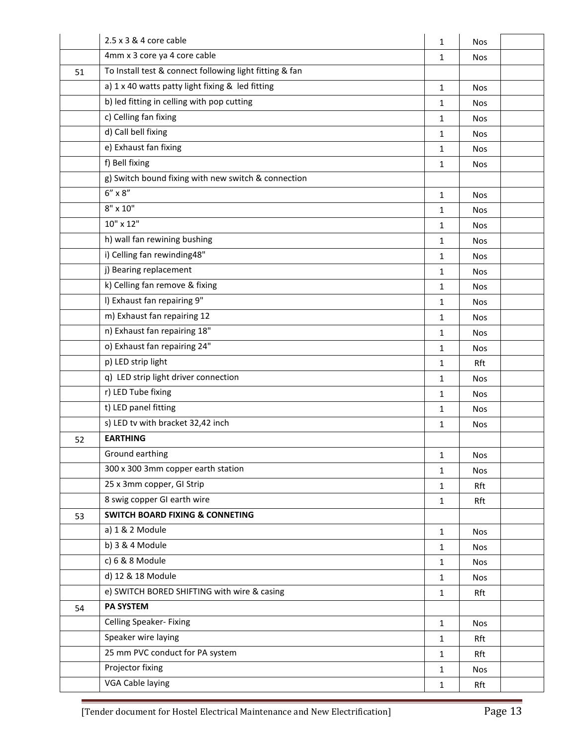|    | $2.5 \times 3$ & 4 core cable                           | $\mathbf{1}$ | <b>Nos</b> |  |
|----|---------------------------------------------------------|--------------|------------|--|
|    | 4mm x 3 core ya 4 core cable                            | $\mathbf{1}$ | <b>Nos</b> |  |
| 51 | To Install test & connect following light fitting & fan |              |            |  |
|    | a) 1 x 40 watts patty light fixing & led fitting        | $\mathbf{1}$ | <b>Nos</b> |  |
|    | b) led fitting in celling with pop cutting              | $\mathbf{1}$ | <b>Nos</b> |  |
|    | c) Celling fan fixing                                   | 1            | <b>Nos</b> |  |
|    | d) Call bell fixing                                     | $\mathbf{1}$ | <b>Nos</b> |  |
|    | e) Exhaust fan fixing                                   | $\mathbf{1}$ | <b>Nos</b> |  |
|    | f) Bell fixing                                          | $\mathbf{1}$ | <b>Nos</b> |  |
|    | g) Switch bound fixing with new switch & connection     |              |            |  |
|    | $6''\times8''$                                          | $\mathbf{1}$ | <b>Nos</b> |  |
|    | $8" \times 10"$                                         | 1            | <b>Nos</b> |  |
|    | 10" x 12"                                               | $\mathbf{1}$ | <b>Nos</b> |  |
|    | h) wall fan rewining bushing                            | $\mathbf{1}$ | <b>Nos</b> |  |
|    | i) Celling fan rewinding48"                             | 1            | <b>Nos</b> |  |
|    | j) Bearing replacement                                  | $\mathbf{1}$ | <b>Nos</b> |  |
|    | k) Celling fan remove & fixing                          | $\mathbf{1}$ | <b>Nos</b> |  |
|    | I) Exhaust fan repairing 9"                             | 1            | <b>Nos</b> |  |
|    | m) Exhaust fan repairing 12                             | $\mathbf{1}$ | <b>Nos</b> |  |
|    | n) Exhaust fan repairing 18"                            | $\mathbf{1}$ | <b>Nos</b> |  |
|    | o) Exhaust fan repairing 24"                            | 1            | <b>Nos</b> |  |
|    | p) LED strip light                                      | $\mathbf{1}$ | Rft        |  |
|    | q) LED strip light driver connection                    | $\mathbf{1}$ | <b>Nos</b> |  |
|    | r) LED Tube fixing                                      | 1            | <b>Nos</b> |  |
|    | t) LED panel fitting                                    | 1            | Nos        |  |
|    | s) LED tv with bracket 32,42 inch                       | $\mathbf{1}$ | <b>Nos</b> |  |
| 52 | <b>EARTHING</b>                                         |              |            |  |
|    | Ground earthing                                         | 1            | Nos        |  |
|    | 300 x 300 3mm copper earth station                      | $\mathbf{1}$ | Nos        |  |
|    | 25 x 3mm copper, GI Strip                               | $\mathbf{1}$ | Rft        |  |
|    | 8 swig copper GI earth wire                             | $\mathbf{1}$ | Rft        |  |
| 53 | <b>SWITCH BOARD FIXING &amp; CONNETING</b>              |              |            |  |
|    | a) 1 & 2 Module                                         | $\mathbf{1}$ | Nos        |  |
|    | b) 3 & 4 Module                                         | $\mathbf{1}$ | Nos        |  |
|    | c) 6 & 8 Module                                         | $\mathbf{1}$ | Nos        |  |
|    | d) 12 & 18 Module                                       | $\mathbf{1}$ | <b>Nos</b> |  |
|    | e) SWITCH BORED SHIFTING with wire & casing             | $\mathbf{1}$ | Rft        |  |
| 54 | PA SYSTEM                                               |              |            |  |
|    | Celling Speaker- Fixing                                 | $\mathbf{1}$ | <b>Nos</b> |  |
|    | Speaker wire laying                                     | $\mathbf{1}$ | Rft        |  |
|    | 25 mm PVC conduct for PA system                         | $\mathbf{1}$ | Rft        |  |
|    | Projector fixing                                        | $\mathbf{1}$ | Nos        |  |
|    | VGA Cable laying                                        | $\mathbf{1}$ | Rft        |  |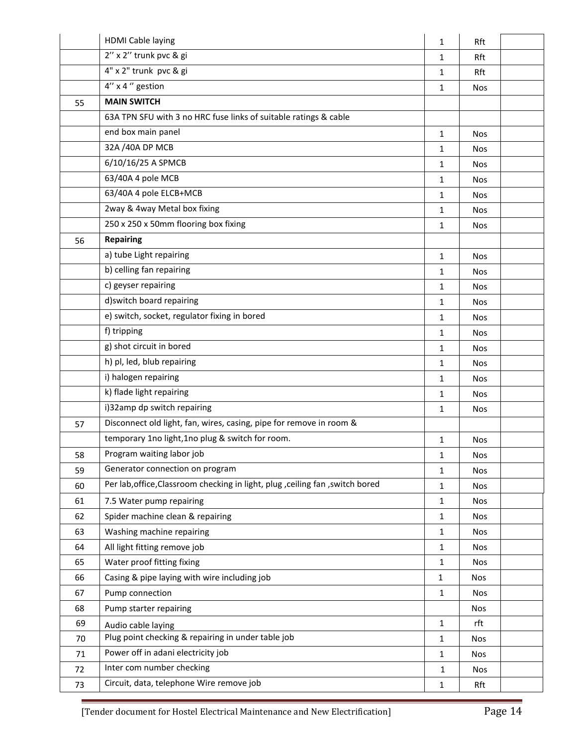|    | <b>HDMI Cable laying</b>                                                      | $\mathbf{1}$ | Rft        |  |
|----|-------------------------------------------------------------------------------|--------------|------------|--|
|    | 2" x 2" trunk pvc & gi                                                        | 1            | Rft        |  |
|    | 4" x 2" trunk pvc & gi                                                        | 1            | Rft        |  |
|    | $4''$ x 4 $''$ gestion                                                        | $\mathbf{1}$ | <b>Nos</b> |  |
| 55 | <b>MAIN SWITCH</b>                                                            |              |            |  |
|    | 63A TPN SFU with 3 no HRC fuse links of suitable ratings & cable              |              |            |  |
|    | end box main panel                                                            | $\mathbf{1}$ | <b>Nos</b> |  |
|    | 32A /40A DP MCB                                                               | 1            | <b>Nos</b> |  |
|    | 6/10/16/25 A SPMCB                                                            | 1            | <b>Nos</b> |  |
|    | 63/40A 4 pole MCB                                                             | $\mathbf{1}$ | <b>Nos</b> |  |
|    | 63/40A 4 pole ELCB+MCB                                                        | 1            | <b>Nos</b> |  |
|    | 2way & 4way Metal box fixing                                                  | 1            | <b>Nos</b> |  |
|    | 250 x 250 x 50mm flooring box fixing                                          | $\mathbf{1}$ | <b>Nos</b> |  |
| 56 | <b>Repairing</b>                                                              |              |            |  |
|    | a) tube Light repairing                                                       | $\mathbf{1}$ | <b>Nos</b> |  |
|    | b) celling fan repairing                                                      | $\mathbf{1}$ | <b>Nos</b> |  |
|    | c) geyser repairing                                                           | $\mathbf{1}$ | <b>Nos</b> |  |
|    | d) switch board repairing                                                     | 1            | <b>Nos</b> |  |
|    | e) switch, socket, regulator fixing in bored                                  | 1            | <b>Nos</b> |  |
|    | f) tripping                                                                   | 1            | <b>Nos</b> |  |
|    | g) shot circuit in bored                                                      | 1            | <b>Nos</b> |  |
|    | h) pl, led, blub repairing                                                    | 1            | <b>Nos</b> |  |
|    | i) halogen repairing                                                          | 1            | <b>Nos</b> |  |
|    | k) flade light repairing                                                      | 1            | <b>Nos</b> |  |
|    | i)32amp dp switch repairing                                                   | 1            | <b>Nos</b> |  |
| 57 | Disconnect old light, fan, wires, casing, pipe for remove in room &           |              |            |  |
|    | temporary 1no light, 1no plug & switch for room.                              | $\mathbf{1}$ | <b>Nos</b> |  |
| 58 | Program waiting labor job                                                     | $\mathbf 1$  | Nos        |  |
| 59 | Generator connection on program                                               | 1            | <b>Nos</b> |  |
| 60 | Per lab, office, Classroom checking in light, plug, ceiling fan, switch bored | $\mathbf{1}$ | Nos        |  |
| 61 | 7.5 Water pump repairing                                                      | $\mathbf{1}$ | Nos        |  |
| 62 | Spider machine clean & repairing                                              | 1            | Nos        |  |
| 63 | Washing machine repairing                                                     | $\mathbf{1}$ | Nos        |  |
| 64 | All light fitting remove job                                                  | $\mathbf{1}$ | Nos        |  |
| 65 | Water proof fitting fixing                                                    | $\mathbf{1}$ | Nos        |  |
| 66 | Casing & pipe laying with wire including job                                  | 1            | <b>Nos</b> |  |
| 67 | Pump connection                                                               | $\mathbf{1}$ | <b>Nos</b> |  |
| 68 | Pump starter repairing                                                        |              | <b>Nos</b> |  |
| 69 | Audio cable laying                                                            | $\mathbf{1}$ | rft        |  |
| 70 | Plug point checking & repairing in under table job                            | $\mathbf{1}$ | <b>Nos</b> |  |
| 71 | Power off in adani electricity job                                            | $\mathbf{1}$ | <b>Nos</b> |  |
| 72 | Inter com number checking                                                     | 1            | Nos        |  |
| 73 | Circuit, data, telephone Wire remove job                                      | 1            | Rft        |  |